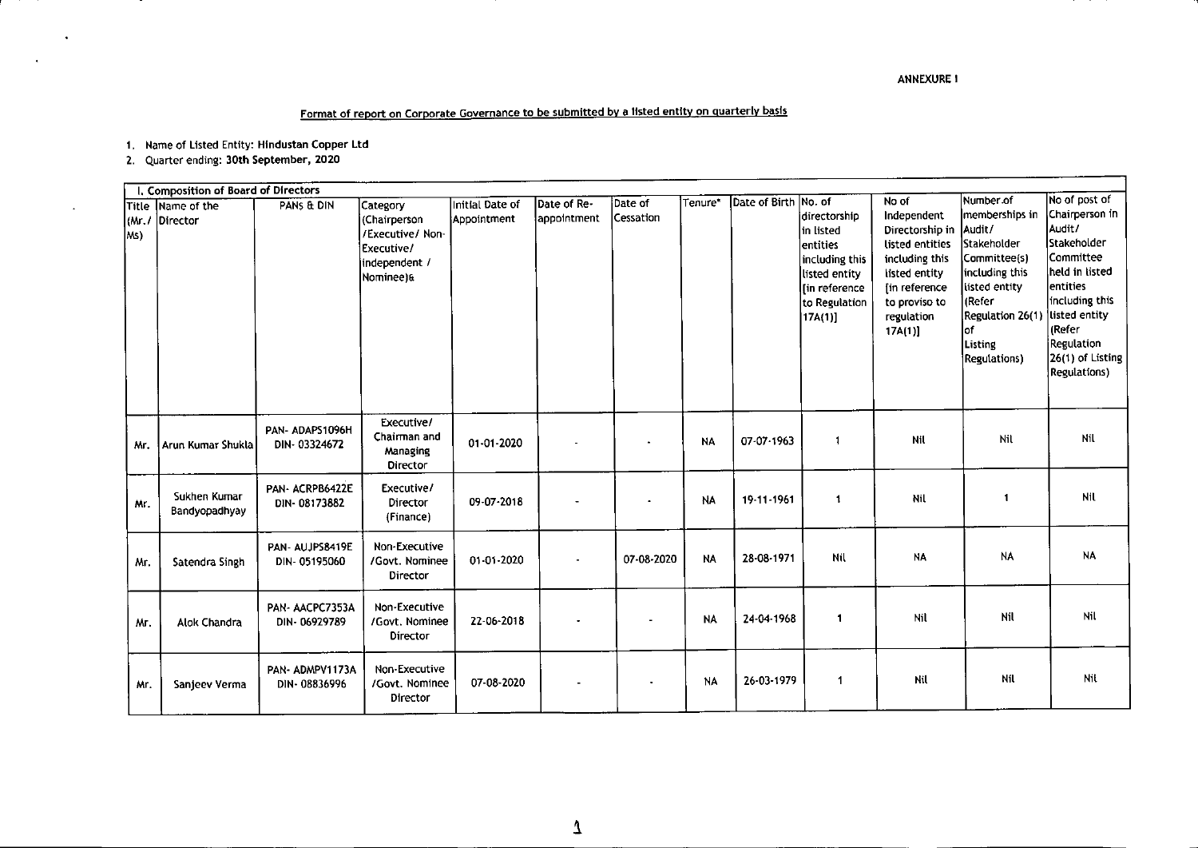## **Format of report on Carpor\_ale GQvernance to be submitted by 8 listed entity on quarterly basis**

**1. Name of Listed Entity: Hlndustan Copper ltd**

**2. Quarter ending: 30th September, 2020**

 $\ddot{\phantom{a}}$ 

 $\ddot{\phantom{a}}$ 

| I. Composition of Board of Directors |                               |                                |                                                                                          |                                |                            |                      |           |                      |                                                                                                                        |                                                                                                                                                         |                                                                                                                                                                                                |                                                                                                                                                                                                           |
|--------------------------------------|-------------------------------|--------------------------------|------------------------------------------------------------------------------------------|--------------------------------|----------------------------|----------------------|-----------|----------------------|------------------------------------------------------------------------------------------------------------------------|---------------------------------------------------------------------------------------------------------------------------------------------------------|------------------------------------------------------------------------------------------------------------------------------------------------------------------------------------------------|-----------------------------------------------------------------------------------------------------------------------------------------------------------------------------------------------------------|
| (M.1)<br>lMs)                        | Title Name of the<br>Director | PANS & DIN                     | Category<br>(Chairperson<br>/Executive/ Non-<br>Executive/<br>independent /<br>Nominee)& | Initial Date of<br>Appointment | Date of Re-<br>appointment | Date of<br>Cessation | Tenure*   | Date of Birth No. of | idirectorship<br>lin listed<br>entities<br>including this<br>listed entity<br>[in reference<br>to Regulation<br>17A(1) | No of<br>Independent<br>Directorship in<br>listed entities<br>including this<br>listed entity<br>[in reference<br>to proviso to<br>regulation<br>17A(1) | Number.of<br>memberships in<br> Audit/<br>Stakeholder<br>Committee(s)<br>including this<br>listed entity<br><b>IRefer</b><br>Regulation 26(1)<br>lof<br><b>Listing</b><br><b>Regulations</b> ) | No of post of<br>Chairperson in<br>Audit/<br><b>Stakeholder</b><br>Committee<br>held in listed<br>entities<br>including this<br>listed entity<br>(Refer<br>Regulation<br>26(1) of Listing<br>Regulations) |
| Mr.                                  | Arun Kumar Shukla             | PAN-ADAPS1096H<br>DIN-03324672 | Executive/<br>Chairman and<br>Managing<br>Director                                       | 01-01-2020                     |                            |                      | <b>NA</b> | 07-07-1963           | -1                                                                                                                     | Nil                                                                                                                                                     | Nil                                                                                                                                                                                            | Nil                                                                                                                                                                                                       |
| Mr.                                  | Sukhen Kumar<br>Bandyopadhyay | PAN-ACRPB6422E<br>DIN-08173882 | Executive/<br>Director<br>(Finance)                                                      | 09-07-2018                     |                            |                      | NA        | 19-11-1961           | $\mathbf{1}$                                                                                                           | Nil                                                                                                                                                     | -1                                                                                                                                                                                             | Nil                                                                                                                                                                                                       |
| Мr.                                  | Satendra Singh                | PAN-AUJPS8419E<br>DIN-05195060 | Non-Executive<br>/Govt. Nominee<br>Director                                              | 01-01-2020                     |                            | 07-08-2020           | <b>NA</b> | 28-08-1971           | Nil                                                                                                                    | <b>NA</b>                                                                                                                                               | <b>NA</b>                                                                                                                                                                                      | <b>NA</b>                                                                                                                                                                                                 |
| Mr.                                  | Alok Chandra                  | PAN-AACPC7353A<br>DIN-06929789 | Non-Executive<br>/Govt. Nominee<br>Director                                              | 22-06-2018                     |                            |                      | <b>NA</b> | 24-04-1968           | $\mathbf{1}$                                                                                                           | Nil                                                                                                                                                     | Nil                                                                                                                                                                                            | Nil                                                                                                                                                                                                       |
| Mr.                                  | Sanjeev Verma                 | PAN-ADMPV1173A<br>DIN-08836996 | Non-Executive<br>/Govt. Nominee<br>Director                                              | 07-08-2020                     |                            |                      | <b>NA</b> | 26-03-1979           | 1                                                                                                                      | Nil                                                                                                                                                     | Nil                                                                                                                                                                                            | Nil                                                                                                                                                                                                       |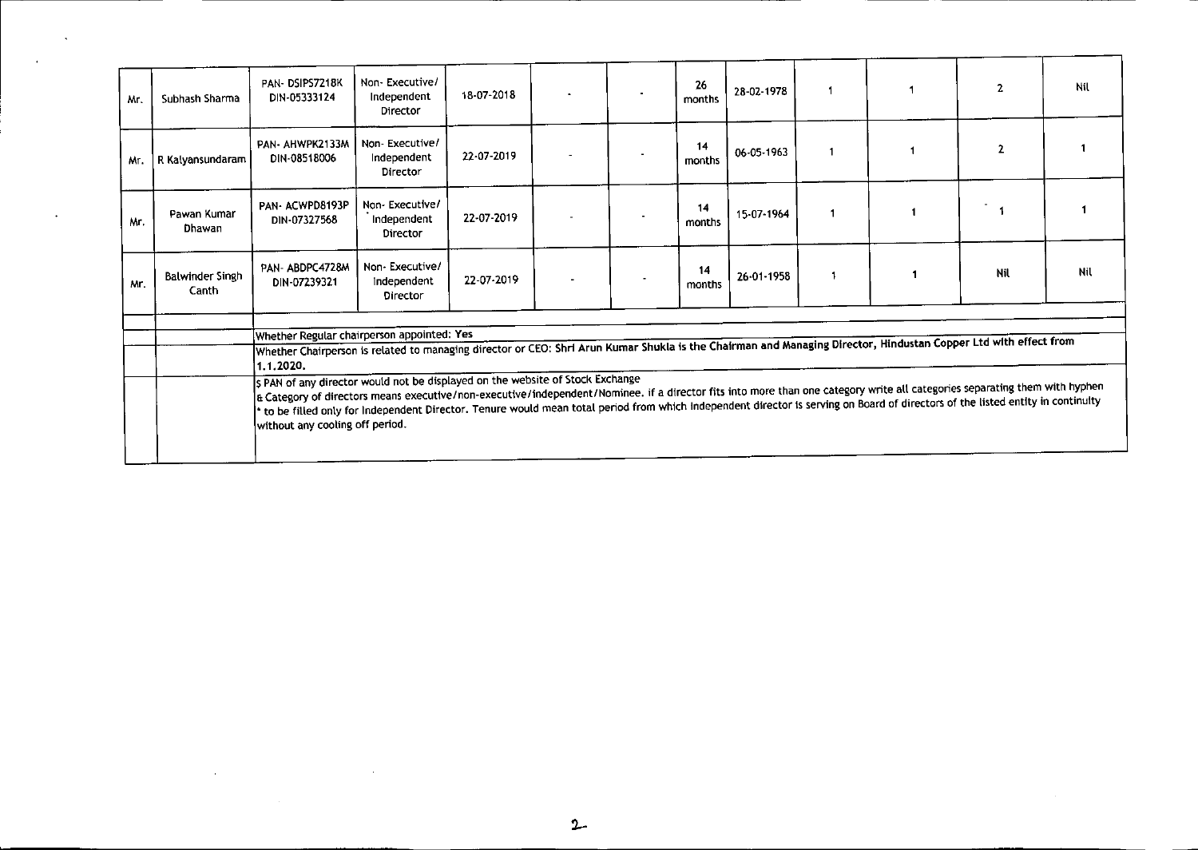| Subhash Sharma                  | PAN-DSIPS7218K<br>DIN-05333124                                                                                                                                                                                                                                                                                                                                                                  | Non-Executive/<br>Independent<br>Director        | 18-07-2018 |  |  | 26<br>months                                                                   | 28-02-1978 |              |  | $\overline{2}$ | Nil                                                                                                                                                             |
|---------------------------------|-------------------------------------------------------------------------------------------------------------------------------------------------------------------------------------------------------------------------------------------------------------------------------------------------------------------------------------------------------------------------------------------------|--------------------------------------------------|------------|--|--|--------------------------------------------------------------------------------|------------|--------------|--|----------------|-----------------------------------------------------------------------------------------------------------------------------------------------------------------|
| R Kalyansundaram                | PAN- AHWPK2133M<br>DIN-08518006                                                                                                                                                                                                                                                                                                                                                                 | Non-Executive/<br>Independent<br>Director        | 22-07-2019 |  |  | 14<br>months                                                                   | 06-05-1963 | $\mathbf{1}$ |  | $\mathbf{2}$   |                                                                                                                                                                 |
| Pawan Kumar<br>Dhawan           | PAN-ACWPD8193P<br>DIN-07327568                                                                                                                                                                                                                                                                                                                                                                  | Non-Executive/<br>Independent<br>Director        | 22-07-2019 |  |  | 14<br>months                                                                   | 15-07-1964 |              |  |                |                                                                                                                                                                 |
| <b>Balwinder Singh</b><br>Canth | PAN-ABDPC4728M<br>DIN-07239321                                                                                                                                                                                                                                                                                                                                                                  | Non-Executive/<br>Independent<br><b>Director</b> | 22-07-2019 |  |  | 14<br>months                                                                   | 26-01-1958 |              |  | Nil            | Nil                                                                                                                                                             |
|                                 |                                                                                                                                                                                                                                                                                                                                                                                                 |                                                  |            |  |  |                                                                                |            |              |  |                |                                                                                                                                                                 |
|                                 |                                                                                                                                                                                                                                                                                                                                                                                                 | Whether Regular chairperson appointed: Yes       |            |  |  |                                                                                |            |              |  |                |                                                                                                                                                                 |
|                                 |                                                                                                                                                                                                                                                                                                                                                                                                 |                                                  |            |  |  |                                                                                |            |              |  |                |                                                                                                                                                                 |
|                                 |                                                                                                                                                                                                                                                                                                                                                                                                 |                                                  |            |  |  |                                                                                |            |              |  |                |                                                                                                                                                                 |
|                                 | a Category of directors means executive/non-executive/independent/Nominee. if a director fits into more than one category write all categories separating them with hyphen<br>to be filled only for Independent Director. Tenure would mean total period from which Independent director is serving on Board of directors of the listed entity in continuity<br>without any cooling off period. |                                                  |            |  |  |                                                                                |            |              |  |                |                                                                                                                                                                 |
|                                 |                                                                                                                                                                                                                                                                                                                                                                                                 | 1.1.2020.                                        |            |  |  | \$ PAN of any director would not be displayed on the website of Stock Exchange |            |              |  |                | Whether Chairperson is related to managing director or CEO: Shri Arun Kumar Shukla is the Chairman and Managing Director, Hindustan Copper Ltd with effect from |

--

---

 $\langle \cdot \rangle$ 

 $\mathcal{L}^{\mathcal{L}}(\mathcal{L}^{\mathcal{L}}(\mathcal{L}^{\mathcal{L}}(\mathcal{L}^{\mathcal{L}}(\mathcal{L}^{\mathcal{L}})))$ 

 $\sim 10^{-1}$ 

 $\sim 100$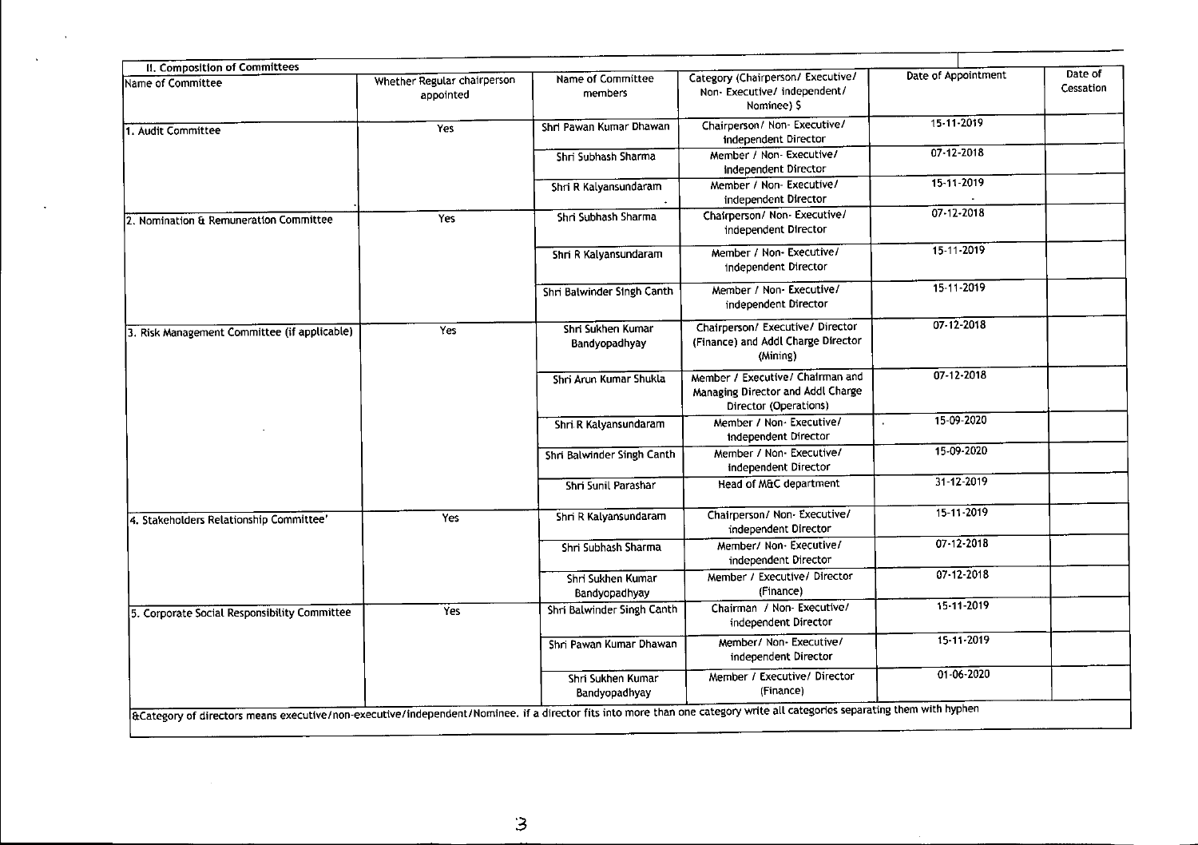| II. Composition of Committees                | Whether Regular chairperson | Name of Committee                  | Category (Chairperson/ Executive/                                                              | Date of Appointment | Date of   |
|----------------------------------------------|-----------------------------|------------------------------------|------------------------------------------------------------------------------------------------|---------------------|-----------|
| Name of Committee                            | appointed                   | members                            | Non-Executive/independent/<br>Nominee) \$                                                      |                     | Cessation |
| 1. Audit Committee                           | Yes                         | Shri Pawan Kumar Dhawan            | Chairperson/ Non-Executive/<br>independent Director                                            | 15-11-2019          |           |
|                                              |                             | Shri Subhash Sharma                | Member / Non- Executive/<br>independent Director                                               | 07-12-2018          |           |
|                                              |                             | Shri R Kalyansundaram              | Member / Non-Executive/<br>independent Director                                                | 15-11-2019          |           |
| 2. Nomination & Remuneration Committee       | Yes                         | Shri Subhash Sharma                | Chairperson/ Non- Executive/<br>independent Director                                           | $07 - 12 - 2018$    |           |
|                                              |                             | Shri R Kalyansundaram              | Member / Non-Executive/<br>independent Director                                                | 15-11-2019          |           |
|                                              |                             | Shri Balwinder Singh Canth         | Member / Non-Executive/<br>independent Director                                                | 15-11-2019          |           |
| 3. Risk Management Committee (if applicable) | Yes                         | Shri Sukhen Kumar<br>Bandyopadhyay | Chairperson/ Executive/ Director<br>(Finance) and Addl Charge Director<br>(Mining)             | $07 - 12 - 2018$    |           |
|                                              |                             | Shri Arun Kumar Shukla             | Member / Executive/ Chairman and<br>Managing Director and Addl Charge<br>Director (Operations) | $07 - 12 - 2018$    |           |
|                                              |                             | Shri.R Kalyansundaram              | Member / Non-Executive/<br>independent Director                                                | 15-09-2020          |           |
|                                              |                             | Shri Balwinder Singh Canth         | Member / Non-Executive/<br>independent Director                                                | 15-09-2020          |           |
|                                              |                             | Shri Sunil Parashar                | Head of M&C department                                                                         | $31 - 12 - 2019$    |           |
| 4. Stakeholders Relationship Committee'      | Yes                         | Shri R Kalyansundaram              | Chairperson/ Non- Executive/<br>independent Director                                           | 15-11-2019          |           |
|                                              |                             | Shri Subhash Sharma                | Member/ Non-Executive/<br>independent Director                                                 | 07-12-2018          |           |
|                                              |                             | Shri Sukhen Kumar<br>Bandyopadhyay | Member / Executive/ Director<br>(Finance)                                                      | 07-12-2018          |           |
| 5. Corporate Social Responsibility Committee | Yes                         | Shri Balwinder Singh Canth         | Chairman / Non-Executive/<br>independent Director                                              | 15-11-2019          |           |
|                                              |                             | Shri Pawan Kumar Dhawan            | Member/ Non- Executive/<br>independent Director                                                | 15-11-2019          |           |
|                                              |                             | Shri Sukhen Kumar<br>Bandyopadhyay | Member / Executive/ Director<br>(Finance)                                                      | $01 - 06 - 2020$    |           |

 $\bar{a}$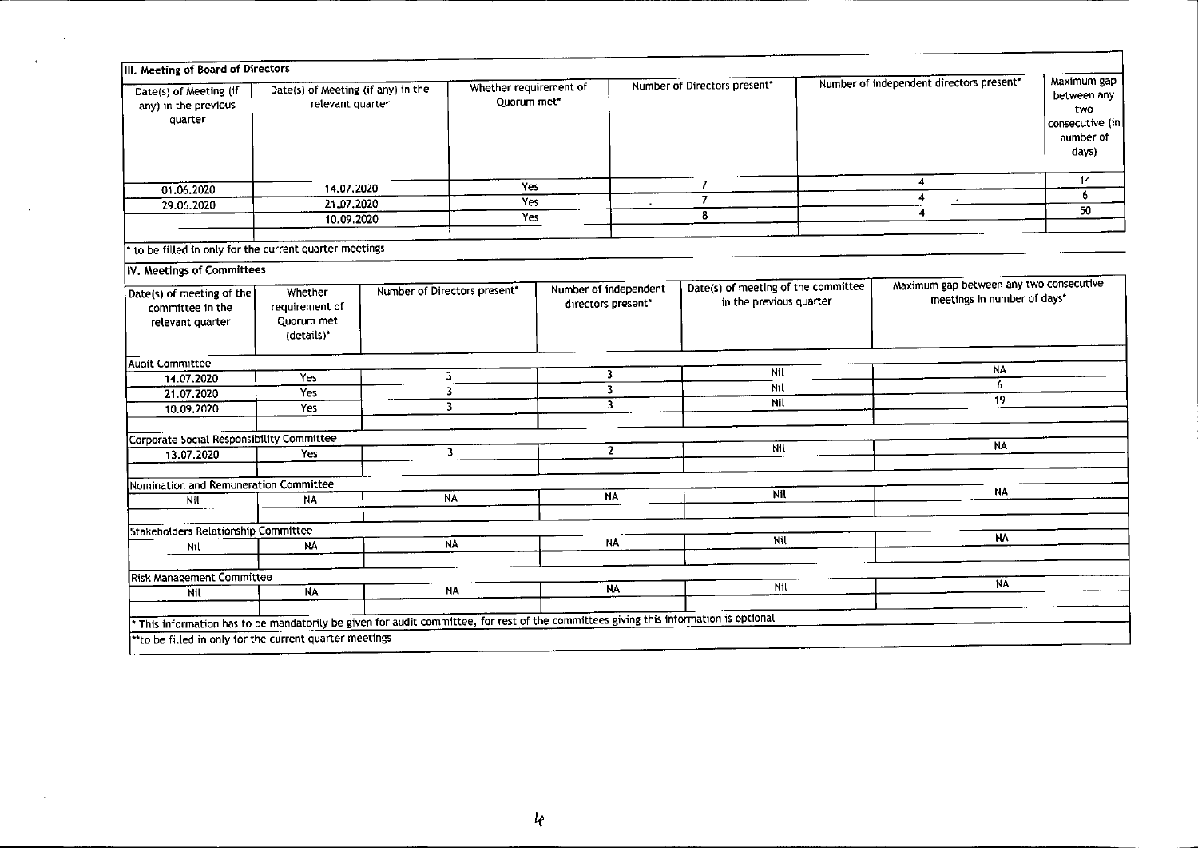| Date(s) of Meeting (If<br>any) in the previous<br>quarter                                                                           | III. Meeting of Board of Directors<br>Date(s) of Meeting (if any) in the<br>relevant quarter |                              | Whether requirement of<br>Quorum met* |                                             | Number of Directors present* |                                                                | Number of independent directors present" |                                                                        | Maximum gap<br>between any<br>two<br>consecutive (in)<br>number of<br>days) |
|-------------------------------------------------------------------------------------------------------------------------------------|----------------------------------------------------------------------------------------------|------------------------------|---------------------------------------|---------------------------------------------|------------------------------|----------------------------------------------------------------|------------------------------------------|------------------------------------------------------------------------|-----------------------------------------------------------------------------|
| 01.06.2020                                                                                                                          | 14.07.2020                                                                                   |                              | Yes                                   |                                             | $\overline{7}$               |                                                                |                                          | 4                                                                      | 14                                                                          |
| 29.06.2020                                                                                                                          | 21.07.2020                                                                                   |                              | Yes                                   |                                             | $\overline{7}$               |                                                                |                                          | 4                                                                      | 6                                                                           |
|                                                                                                                                     | 10.09.2020                                                                                   |                              | Yes                                   |                                             | 8                            |                                                                |                                          | 4                                                                      | 50                                                                          |
| to be filled in only for the current quarter meetings                                                                               |                                                                                              |                              |                                       |                                             |                              |                                                                |                                          |                                                                        |                                                                             |
| IV. Meetings of Committees                                                                                                          |                                                                                              |                              |                                       |                                             |                              |                                                                |                                          |                                                                        |                                                                             |
| Date(s) of meeting of the<br>committee in the<br>relevant quarter                                                                   | Whether<br>requirement of<br>Quorum met<br>(details)*                                        | Number of Directors present" |                                       | Number of independent<br>directors present* |                              | Date(s) of meeting of the committee<br>in the previous quarter |                                          | Maximum gap between any two consecutive<br>meetings in number of days* |                                                                             |
| <b>Audit Committee</b>                                                                                                              |                                                                                              |                              |                                       |                                             |                              |                                                                |                                          | <b>NA</b>                                                              |                                                                             |
| 14.07.2020                                                                                                                          | Yes                                                                                          | 3                            |                                       |                                             | Nil<br>3                     |                                                                |                                          | 6                                                                      |                                                                             |
| 21.07.2020                                                                                                                          | <b>Yes</b>                                                                                   | $\overline{\mathbf{3}}$      |                                       | 3                                           |                              | Nil<br>Nil                                                     |                                          | 19                                                                     |                                                                             |
| 10.09.2020                                                                                                                          | Yes                                                                                          | 3                            |                                       |                                             | $\overline{\mathbf{3}}$      |                                                                |                                          |                                                                        |                                                                             |
| Corporate Social Responsibility Committee                                                                                           |                                                                                              |                              |                                       |                                             |                              |                                                                |                                          |                                                                        |                                                                             |
| 13.07.2020                                                                                                                          | Yes                                                                                          | $\overline{\mathbf{3}}$      |                                       |                                             | $\overline{2}$               | NIL                                                            |                                          | <b>NA</b>                                                              |                                                                             |
|                                                                                                                                     |                                                                                              |                              |                                       |                                             |                              |                                                                |                                          |                                                                        |                                                                             |
| Nomination and Remuneration Committee                                                                                               |                                                                                              |                              | <b>NA</b>                             |                                             | Nil                          |                                                                | <b>NA</b>                                |                                                                        |                                                                             |
| Nil                                                                                                                                 | <b>NA</b>                                                                                    | <b>NA</b>                    |                                       |                                             |                              |                                                                |                                          |                                                                        |                                                                             |
| Stakeholders Relationship Committee                                                                                                 |                                                                                              |                              |                                       |                                             |                              |                                                                |                                          | <b>NA</b>                                                              |                                                                             |
| Nil                                                                                                                                 | <b>NA</b>                                                                                    |                              | <b>NA</b>                             |                                             | NA                           | Nil                                                            |                                          |                                                                        |                                                                             |
| <b>Risk Management Committee</b>                                                                                                    |                                                                                              |                              |                                       |                                             |                              |                                                                |                                          |                                                                        |                                                                             |
| Nil                                                                                                                                 | <b>NA</b>                                                                                    |                              | <b>NA</b>                             | <b>NA</b>                                   |                              | Nil                                                            |                                          | NA                                                                     |                                                                             |
|                                                                                                                                     |                                                                                              |                              |                                       |                                             |                              |                                                                |                                          |                                                                        |                                                                             |
| This information has to be mandatorily be given for audit committee, for rest of the committees giving this information is optional |                                                                                              |                              |                                       |                                             |                              |                                                                |                                          |                                                                        |                                                                             |
| ** to be filled in only for the current quarter meetings                                                                            |                                                                                              |                              |                                       |                                             |                              |                                                                |                                          |                                                                        |                                                                             |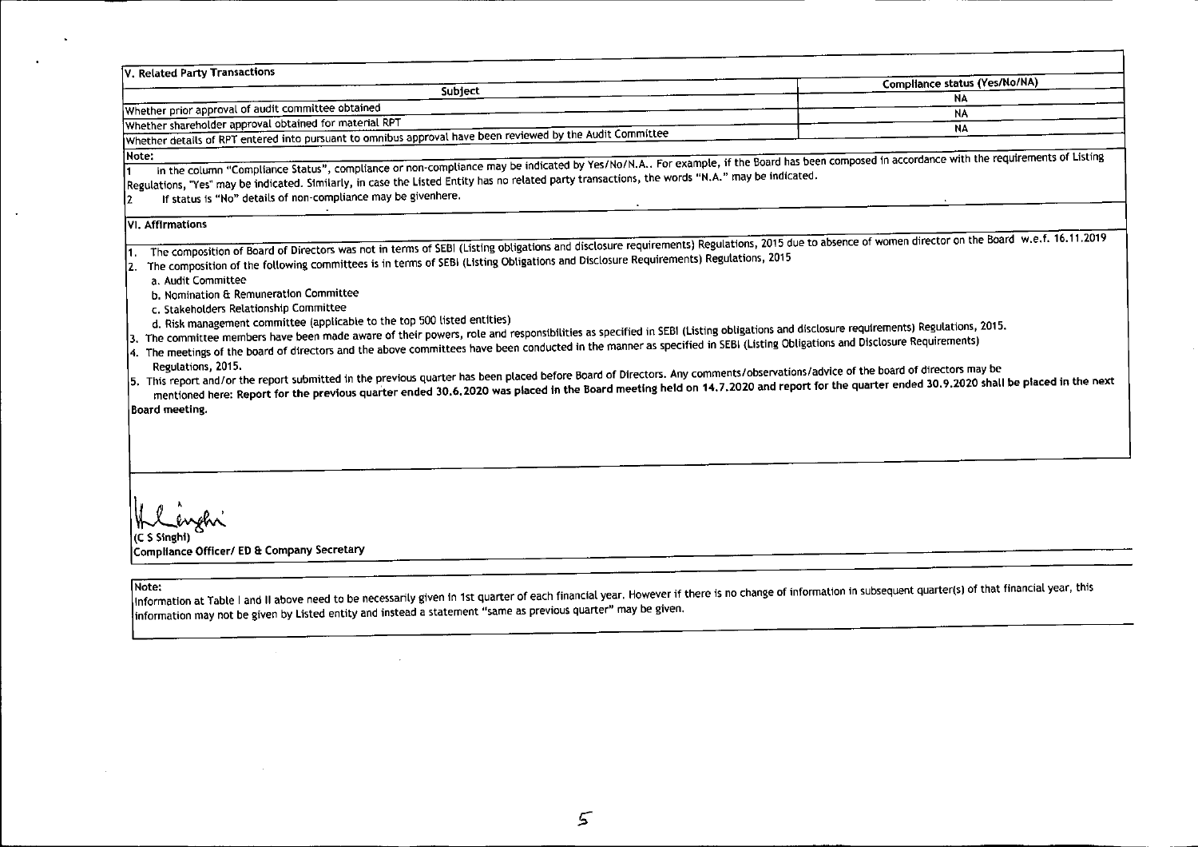| V. Related Party Transactions                                                                                                                                                                                                                                                                                                                                                                                                                                                                                                                                                                                                                                                                                                                                                                                                                                                                                                                                                                                                                                                                                                                                                                                                                                                                                                      |                                            |
|------------------------------------------------------------------------------------------------------------------------------------------------------------------------------------------------------------------------------------------------------------------------------------------------------------------------------------------------------------------------------------------------------------------------------------------------------------------------------------------------------------------------------------------------------------------------------------------------------------------------------------------------------------------------------------------------------------------------------------------------------------------------------------------------------------------------------------------------------------------------------------------------------------------------------------------------------------------------------------------------------------------------------------------------------------------------------------------------------------------------------------------------------------------------------------------------------------------------------------------------------------------------------------------------------------------------------------|--------------------------------------------|
| Subject                                                                                                                                                                                                                                                                                                                                                                                                                                                                                                                                                                                                                                                                                                                                                                                                                                                                                                                                                                                                                                                                                                                                                                                                                                                                                                                            | Compliance status (Yes/No/NA)<br><b>NA</b> |
| Whether prior approval of audit committee obtained                                                                                                                                                                                                                                                                                                                                                                                                                                                                                                                                                                                                                                                                                                                                                                                                                                                                                                                                                                                                                                                                                                                                                                                                                                                                                 | <b>NA</b>                                  |
| Whether shareholder approval obtained for material RPT                                                                                                                                                                                                                                                                                                                                                                                                                                                                                                                                                                                                                                                                                                                                                                                                                                                                                                                                                                                                                                                                                                                                                                                                                                                                             | <b>NA</b>                                  |
| Whether details of RPT entered into pursuant to omnibus approval have been reviewed by the Audit Committee                                                                                                                                                                                                                                                                                                                                                                                                                                                                                                                                                                                                                                                                                                                                                                                                                                                                                                                                                                                                                                                                                                                                                                                                                         |                                            |
| Note:<br>In the column "Compliance Status", compliance or non-compliance may be indicated by Yes/No/N.A For example, if the Board has been composed in accordance with the requirements of Listing<br>Regulations, "Yes" may be indicated. Similarly, in case the Listed Entity has no related party transactions, the words "N.A." may be indicated.<br>If status is "No" details of non-compliance may be givenhere.<br>12                                                                                                                                                                                                                                                                                                                                                                                                                                                                                                                                                                                                                                                                                                                                                                                                                                                                                                       |                                            |
| <b>VI. Affirmations</b>                                                                                                                                                                                                                                                                                                                                                                                                                                                                                                                                                                                                                                                                                                                                                                                                                                                                                                                                                                                                                                                                                                                                                                                                                                                                                                            |                                            |
| The composition of Board of Directors was not in terms of SEBI (Listing obligations and disclosure requirements) Regulations, 2015 due to absence of women director on the Board w.e.f. 16.11.2019<br>The composition of the following committees is in terms of SEBI (Listing Obligations and Disclosure Requirements) Regulations, 2015<br>a. Audit Committee<br>b. Nomination & Remuneration Committee<br>c. Stakeholders Relationship Committee<br>d. Risk management committee (applicable to the top 500 listed entities)<br>3. The committee members have been made aware of their powers, role and responsibilities as specified in SEBI (Listing obligations and disclosure requirements) Regulations, 2015.<br>4. The meetings of the board of directors and the above committees have been conducted in the manner as specified in SEBI (Listing Obligations and Disclosure Requirements)<br>Regulations, 2015.<br>5. This report and/or the report submitted in the previous quarter has been placed before Board of Directors. Any comments/observations/advice of the board of directors may be<br>mentioned here: Report for the previous quarter ended 30.6.2020 was placed in the Board meeting held on 14.7.2020 and report for the quarter ended 30.9.2020 shall be placed in the next<br><b>Board meeting.</b> |                                            |
| (C S Singhi)<br>Compliance Officer/ ED & Company Secretary<br>lNote:<br>Information at Table I and II above need to be necessarily given in 1st quarter of each financial year. However if there is no change of information in subsequent quarter(s) of that financial year, this<br>information may not be given by Listed entity and instead a statement "same as previous quarter" may be given.                                                                                                                                                                                                                                                                                                                                                                                                                                                                                                                                                                                                                                                                                                                                                                                                                                                                                                                               |                                            |

---

 $\sim 100$  km  $^{-1}$ 

 $\sim$ 

 $\sim 10^7$ 

 $\sim$ 

 $\mathcal{L}^{\text{max}}_{\text{max}}$  and  $\mathcal{L}^{\text{max}}_{\text{max}}$ 

the contract of the contract of the contract